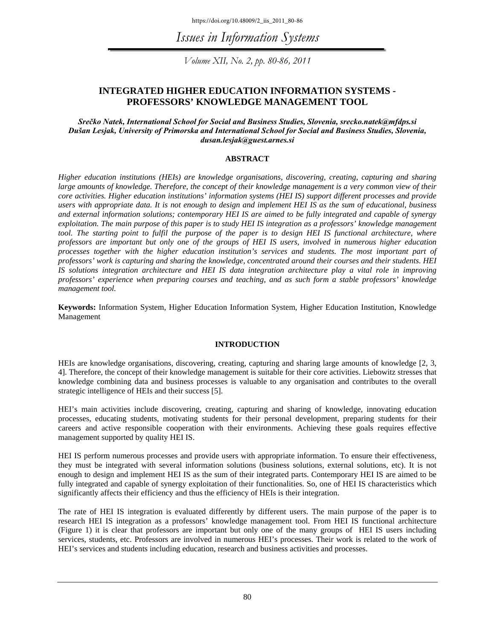https://doi.org/10.48009/2\_iis\_2011\_80-86

*Issues in Information Systems* 

*Volume XII, No. 2, pp. 80-86, 2011* 

### **INTEGRATED HIGHER EDUCATION INFORMATION SYSTEMS - PROFESSORS' KNOWLEDGE MANAGEMENT TOOL**

#### *Srečko Natek, International School for Social and Business Studies, Slovenia, srecko.natek@mfdps.si Dušan Lesjak, University of Primorska and International School for Social and Business Studies, Slovenia, dusan.lesjak@guest.arnes.si*

#### **ABSTRACT**

*Higher education institutions (HEIs) are knowledge organisations, discovering, creating, capturing and sharing large amounts of knowledge. Therefore, the concept of their knowledge management is a very common view of their core activities. Higher education institutions' information systems (HEI IS) support different processes and provide users with appropriate data. It is not enough to design and implement HEI IS as the sum of educational, business and external information solutions; contemporary HEI IS are aimed to be fully integrated and capable of synergy exploitation. The main purpose of this paper is to study HEI IS integration as a professors' knowledge management tool. The starting point to fulfil the purpose of the paper is to design HEI IS functional architecture, where professors are important but only one of the groups of HEI IS users, involved in numerous higher education processes together with the higher education institution's services and students. The most important part of professors' work is capturing and sharing the knowledge, concentrated around their courses and their students. HEI IS solutions integration architecture and HEI IS data integration architecture play a vital role in improving professors' experience when preparing courses and teaching, and as such form a stable professors' knowledge management tool.* 

**Keywords:** Information System, Higher Education Information System, Higher Education Institution, Knowledge Management

#### **INTRODUCTION**

HEIs are knowledge organisations, discovering, creating, capturing and sharing large amounts of knowledge [2, 3, 4]. Therefore, the concept of their knowledge management is suitable for their core activities. Liebowitz stresses that knowledge combining data and business processes is valuable to any organisation and contributes to the overall strategic intelligence of HEIs and their success [5].

HEI's main activities include discovering, creating, capturing and sharing of knowledge, innovating education processes, educating students, motivating students for their personal development, preparing students for their careers and active responsible cooperation with their environments. Achieving these goals requires effective management supported by quality HEI IS.

HEI IS perform numerous processes and provide users with appropriate information. To ensure their effectiveness, they must be integrated with several information solutions (business solutions, external solutions, etc). It is not enough to design and implement HEI IS as the sum of their integrated parts. Contemporary HEI IS are aimed to be fully integrated and capable of synergy exploitation of their functionalities. So, one of HEI IS characteristics which significantly affects their efficiency and thus the efficiency of HEIs is their integration.

The rate of HEI IS integration is evaluated differently by different users. The main purpose of the paper is to research HEI IS integration as a professors' knowledge management tool. From HEI IS functional architecture (Figure 1) it is clear that professors are important but only one of the many groups of HEI IS users including services, students, etc. Professors are involved in numerous HEI's processes. Their work is related to the work of HEI's services and students including education, research and business activities and processes.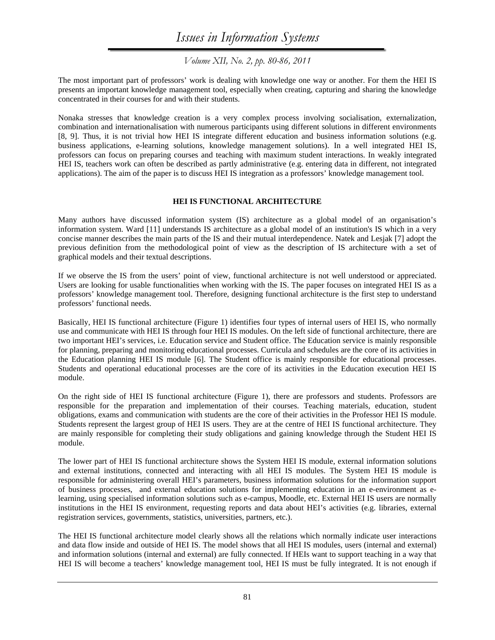## *Issues in Information Systems*

*Volume XII, No. 2, pp. 80-86, 2011* 

The most important part of professors' work is dealing with knowledge one way or another. For them the HEI IS presents an important knowledge management tool, especially when creating, capturing and sharing the knowledge concentrated in their courses for and with their students.

Nonaka stresses that knowledge creation is a very complex process involving socialisation, externalization, combination and internationalisation with numerous participants using different solutions in different environments [8, 9]. Thus, it is not trivial how HEI IS integrate different education and business information solutions (e.g. business applications, e-learning solutions, knowledge management solutions). In a well integrated HEI IS, professors can focus on preparing courses and teaching with maximum student interactions. In weakly integrated HEI IS, teachers work can often be described as partly administrative (e.g. entering data in different, not integrated applications). The aim of the paper is to discuss HEI IS integration as a professors' knowledge management tool.

#### **HEI IS FUNCTIONAL ARCHITECTURE**

Many authors have discussed information system (IS) architecture as a global model of an organisation's information system. Ward [11] understands IS architecture as a global model of an institution's IS which in a very concise manner describes the main parts of the IS and their mutual interdependence. Natek and Lesjak [7] adopt the previous definition from the methodological point of view as the description of IS architecture with a set of graphical models and their textual descriptions.

If we observe the IS from the users' point of view, functional architecture is not well understood or appreciated. Users are looking for usable functionalities when working with the IS. The paper focuses on integrated HEI IS as a professors' knowledge management tool. Therefore, designing functional architecture is the first step to understand professors' functional needs.

Basically, HEI IS functional architecture (Figure 1) identifies four types of internal users of HEI IS, who normally use and communicate with HEI IS through four HEI IS modules. On the left side of functional architecture, there are two important HEI's services, i.e. Education service and Student office. The Education service is mainly responsible for planning, preparing and monitoring educational processes. Curricula and schedules are the core of its activities in the Education planning HEI IS module [6]. The Student office is mainly responsible for educational processes. Students and operational educational processes are the core of its activities in the Education execution HEI IS module.

On the right side of HEI IS functional architecture (Figure 1), there are professors and students. Professors are responsible for the preparation and implementation of their courses. Teaching materials, education, student obligations, exams and communication with students are the core of their activities in the Professor HEI IS module. Students represent the largest group of HEI IS users. They are at the centre of HEI IS functional architecture. They are mainly responsible for completing their study obligations and gaining knowledge through the Student HEI IS module.

The lower part of HEI IS functional architecture shows the System HEI IS module, external information solutions and external institutions, connected and interacting with all HEI IS modules. The System HEI IS module is responsible for administering overall HEI's parameters, business information solutions for the information support of business processes, and external education solutions for implementing education in an e-environment as elearning, using specialised information solutions such as e-campus, Moodle, etc. External HEI IS users are normally institutions in the HEI IS environment, requesting reports and data about HEI's activities (e.g. libraries, external registration services, governments, statistics, universities, partners, etc.).

The HEI IS functional architecture model clearly shows all the relations which normally indicate user interactions and data flow inside and outside of HEI IS. The model shows that all HEI IS modules, users (internal and external) and information solutions (internal and external) are fully connected. If HEIs want to support teaching in a way that HEI IS will become a teachers' knowledge management tool, HEI IS must be fully integrated. It is not enough if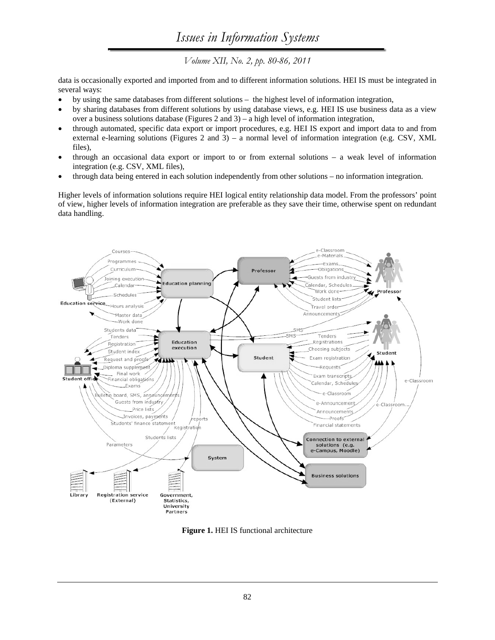# *Issues in Information Systems*

*Volume XII, No. 2, pp. 80-86, 2011* 

data is occasionally exported and imported from and to different information solutions. HEI IS must be integrated in several ways:

- by using the same databases from different solutions the highest level of information integration,
- by sharing databases from different solutions by using database views, e.g. HEI IS use business data as a view over a business solutions database (Figures 2 and 3) – a high level of information integration,
- through automated, specific data export or import procedures, e.g. HEI IS export and import data to and from external e-learning solutions (Figures 2 and 3) – a normal level of information integration (e.g. CSV, XML files),
- through an occasional data export or import to or from external solutions a weak level of information integration (e.g. CSV, XML files),
- through data being entered in each solution independently from other solutions no information integration.

Higher levels of information solutions require HEI logical entity relationship data model. From the professors' point of view, higher levels of information integration are preferable as they save their time, otherwise spent on redundant data handling.



**Figure 1.** HEI IS functional architecture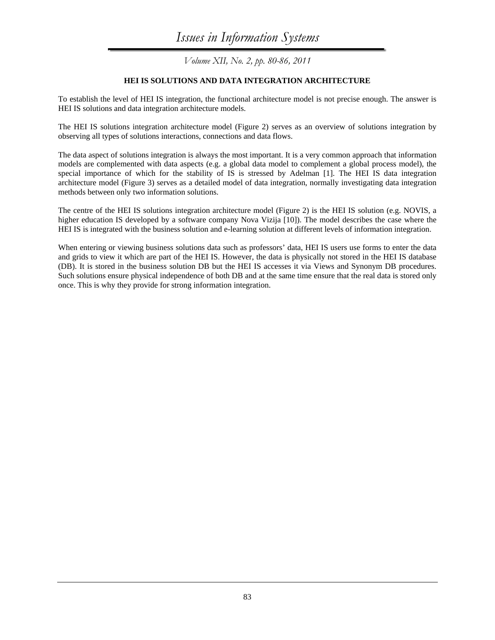*Volume XII, No. 2, pp. 80-86, 2011* 

#### **HEI IS SOLUTIONS AND DATA INTEGRATION ARCHITECTURE**

To establish the level of HEI IS integration, the functional architecture model is not precise enough. The answer is HEI IS solutions and data integration architecture models.

The HEI IS solutions integration architecture model (Figure 2) serves as an overview of solutions integration by observing all types of solutions interactions, connections and data flows.

The data aspect of solutions integration is always the most important. It is a very common approach that information models are complemented with data aspects (e.g. a global data model to complement a global process model), the special importance of which for the stability of IS is stressed by Adelman [1]. The HEI IS data integration architecture model (Figure 3) serves as a detailed model of data integration, normally investigating data integration methods between only two information solutions.

The centre of the HEI IS solutions integration architecture model (Figure 2) is the HEI IS solution (e.g. NOVIS, a higher education IS developed by a software company Nova Vizija [10]). The model describes the case where the HEI IS is integrated with the business solution and e-learning solution at different levels of information integration.

When entering or viewing business solutions data such as professors' data, HEI IS users use forms to enter the data and grids to view it which are part of the HEI IS. However, the data is physically not stored in the HEI IS database (DB). It is stored in the business solution DB but the HEI IS accesses it via Views and Synonym DB procedures. Such solutions ensure physical independence of both DB and at the same time ensure that the real data is stored only once. This is why they provide for strong information integration.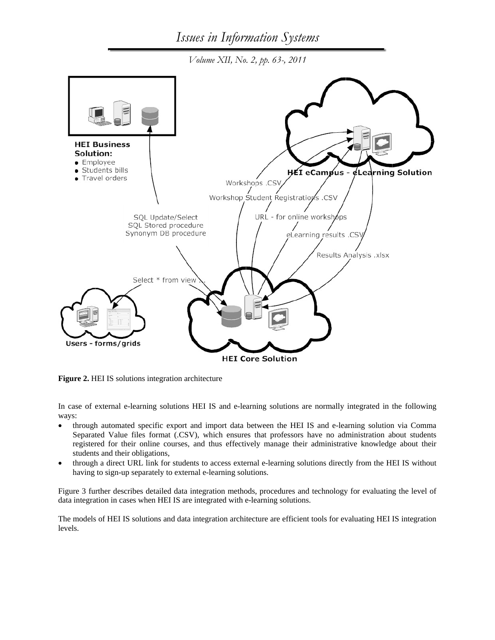*Volume XII, No. 2, pp. 63-, 2011* 



**Figure 2.** HEI IS solutions integration architecture

In case of external e-learning solutions HEI IS and e-learning solutions are normally integrated in the following ways:

- through automated specific export and import data between the HEI IS and e-learning solution via Comma Separated Value files format (.CSV), which ensures that professors have no administration about students registered for their online courses, and thus effectively manage their administrative knowledge about their students and their obligations,
- through a direct URL link for students to access external e-learning solutions directly from the HEI IS without having to sign-up separately to external e-learning solutions.

Figure 3 further describes detailed data integration methods, procedures and technology for evaluating the level of data integration in cases when HEI IS are integrated with e-learning solutions.

The models of HEI IS solutions and data integration architecture are efficient tools for evaluating HEI IS integration levels.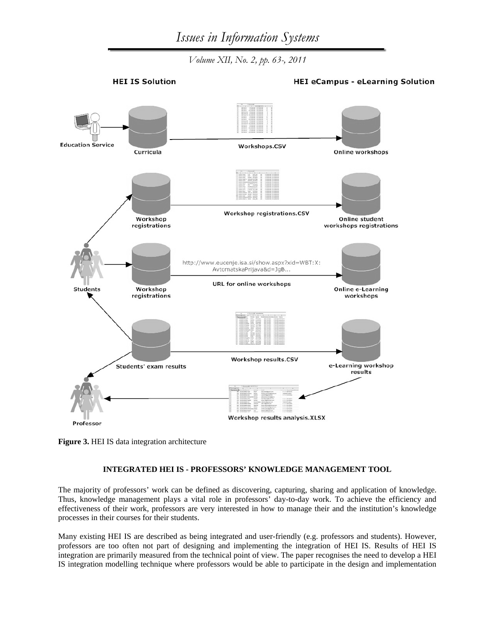*Volume XII, No. 2, pp. 63-, 2011* 



**HEI eCampus - eLearning Solution** 



**Figure 3.** HEI IS data integration architecture

#### **INTEGRATED HEI IS - PROFESSORS' KNOWLEDGE MANAGEMENT TOOL**

The majority of professors' work can be defined as discovering, capturing, sharing and application of knowledge. Thus, knowledge management plays a vital role in professors' day-to-day work. To achieve the efficiency and effectiveness of their work, professors are very interested in how to manage their and the institution's knowledge processes in their courses for their students.

Many existing HEI IS are described as being integrated and user-friendly (e.g. professors and students). However, professors are too often not part of designing and implementing the integration of HEI IS. Results of HEI IS integration are primarily measured from the technical point of view. The paper recognises the need to develop a HEI IS integration modelling technique where professors would be able to participate in the design and implementation